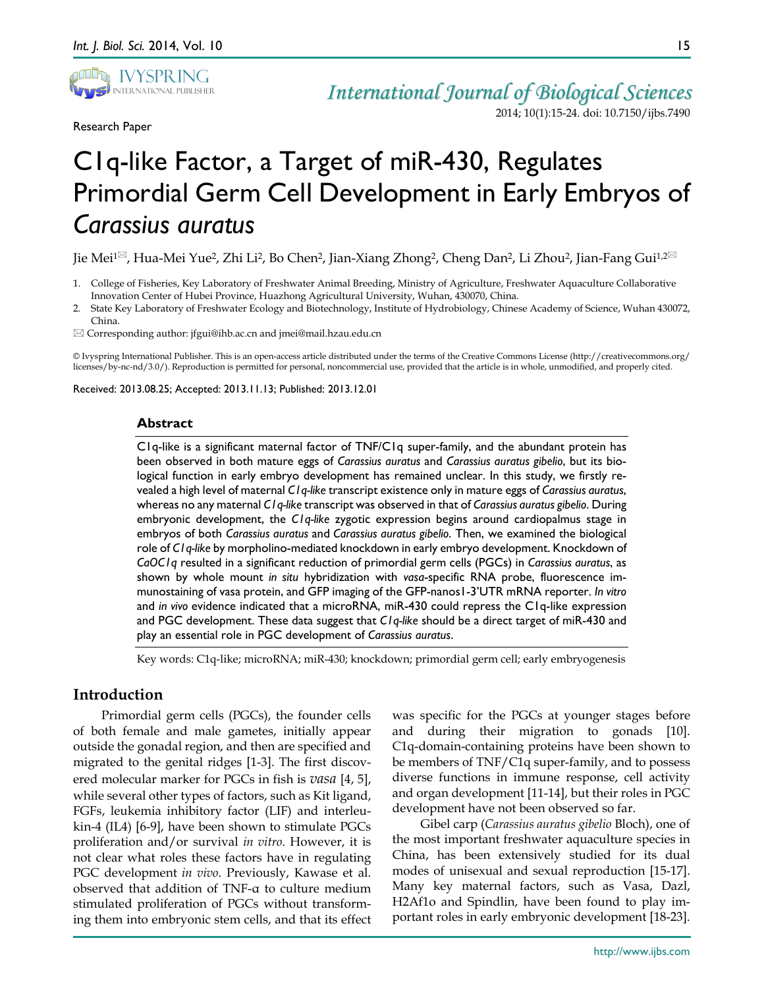

Research Paper

## *International Journal of Biological Sciences* 2014; 10(1):15-24. doi: 10.7150/ijbs.7490

# C1q-like Factor, a Target of miR-430, Regulates Primordial Germ Cell Development in Early Embryos of *Carassius auratus*

Jie Mei<sup>1⊠</sup>, Hua-Mei Yue<sup>2</sup>, Zhi Li<sup>2</sup>, Bo Chen<sup>2</sup>, Jian-Xiang Zhong<sup>2</sup>, Cheng Dan<sup>2</sup>, Li Zhou<sup>2</sup>, Jian-Fang Gui<sup>1,2⊠</sup>

- 1. College of Fisheries, Key Laboratory of Freshwater Animal Breeding, Ministry of Agriculture, Freshwater Aquaculture Collaborative Innovation Center of Hubei Province, Huazhong Agricultural University, Wuhan, 430070, China.
- 2. State Key Laboratory of Freshwater Ecology and Biotechnology, Institute of Hydrobiology, Chinese Academy of Science, Wuhan 430072, China.

Corresponding author: jfgui@ihb.ac.cn and jmei@mail.hzau.edu.cn

© Ivyspring International Publisher. This is an open-access article distributed under the terms of the Creative Commons License (http://creativecommons.org/ licenses/by-nc-nd/3.0/). Reproduction is permitted for personal, noncommercial use, provided that the article is in whole, unmodified, and properly cited.

Received: 2013.08.25; Accepted: 2013.11.13; Published: 2013.12.01

## **Abstract**

C1q-like is a significant maternal factor of TNF/C1q super-family, and the abundant protein has been observed in both mature eggs of *Carassius auratus* and *Carassius auratus gibelio*, but its biological function in early embryo development has remained unclear. In this study, we firstly revealed a high level of maternal *C1q-like* transcript existence only in mature eggs of *Carassius auratus*, whereas no any maternal *C1q-like* transcript was observed in that of *Carassius auratus gibelio*. During embryonic development, the *C1q-like* zygotic expression begins around cardiopalmus stage in embryos of both *Carassius auratus* and *Carassius auratus gibelio*. Then, we examined the biological role of *C1q-like* by morpholino-mediated knockdown in early embryo development. Knockdown of *CaOC1q* resulted in a significant reduction of primordial germ cells (PGCs) in *Carassius auratus*, as shown by whole mount *in situ* hybridization with *vasa*-specific RNA probe, fluorescence immunostaining of vasa protein, and GFP imaging of the GFP-nanos1-3'UTR mRNA reporter. *In vitro*  and *in vivo* evidence indicated that a microRNA, miR-430 could repress the C1q-like expression and PGC development. These data suggest that *C1q-like* should be a direct target of miR-430 and play an essential role in PGC development of *Carassius auratus*.

Key words: C1q-like; microRNA; miR-430; knockdown; primordial germ cell; early embryogenesis

## **Introduction**

Primordial germ cells (PGCs), the founder cells of both female and male gametes, initially appear outside the gonadal region, and then are specified and migrated to the genital ridges [1-3]. The first discovered molecular marker for PGCs in fish is *vasa* [4, 5], while several other types of factors, such as Kit ligand, FGFs, leukemia inhibitory factor (LIF) and interleukin-4 (IL4) [6-9], have been shown to stimulate PGCs proliferation and/or survival *in vitro*. However, it is not clear what roles these factors have in regulating PGC development *in vivo*. Previously, Kawase et al. observed that addition of TNF-α to culture medium stimulated proliferation of PGCs without transforming them into embryonic stem cells, and that its effect was specific for the PGCs at younger stages before and during their migration to gonads [10]. C1q-domain-containing proteins have been shown to be members of TNF/C1q super-family, and to possess diverse functions in immune response, cell activity and organ development [11-14], but their roles in PGC development have not been observed so far.

Gibel carp (*Carassius auratus gibelio* Bloch), one of the most important freshwater aquaculture species in China, has been extensively studied for its dual modes of unisexual and sexual reproduction [15-17]. Many key maternal factors, such as Vasa, Dazl, H2Af1o and Spindlin, have been found to play important roles in early embryonic development [18-23].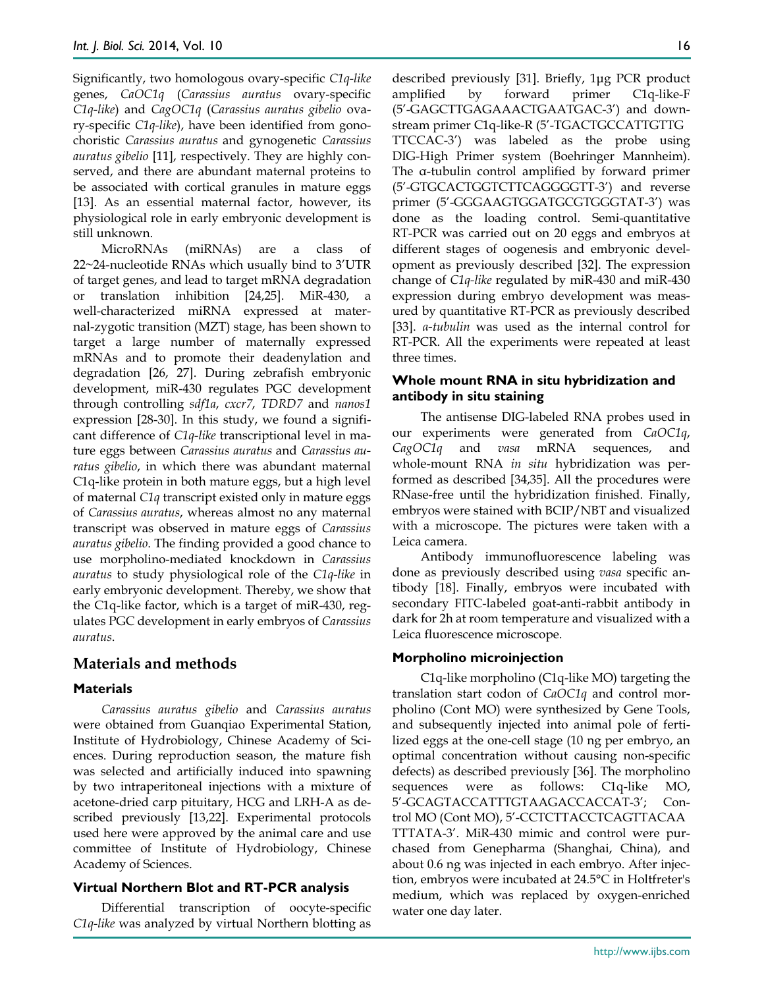Significantly, two homologous ovary-specific *C1q-like* genes, *CaOC1q* (*Carassius auratus* ovary-specific *C1q-like*) and *CagOC1q* (*Carassius auratus gibelio* ovary-specific *C1q-like*), have been identified from gonochoristic *Carassius auratus* and gynogenetic *Carassius auratus gibelio* [11], respectively. They are highly conserved, and there are abundant maternal proteins to be associated with cortical granules in mature eggs [13]. As an essential maternal factor, however, its physiological role in early embryonic development is still unknown.

MicroRNAs (miRNAs) are a class of 22~24-nucleotide RNAs which usually bind to 3'UTR of target genes, and lead to target mRNA degradation or translation inhibition [24,25]. MiR-430, a well-characterized miRNA expressed at maternal-zygotic transition (MZT) stage, has been shown to target a large number of maternally expressed mRNAs and to promote their deadenylation and degradation [26, 27]. During zebrafish embryonic development, miR-430 regulates PGC development through controlling *sdf1a*, *cxcr7*, *TDRD7* and *nanos1*  expression [28-30]. In this study, we found a significant difference of *C1q-like* transcriptional level in mature eggs between *Carassius auratus* and *Carassius auratus gibelio*, in which there was abundant maternal C1q-like protein in both mature eggs, but a high level of maternal *C1q* transcript existed only in mature eggs of *Carassius auratus*, whereas almost no any maternal transcript was observed in mature eggs of *Carassius auratus gibelio*. The finding provided a good chance to use morpholino-mediated knockdown in *Carassius auratus* to study physiological role of the *C1q-like* in early embryonic development. Thereby, we show that the C1q-like factor, which is a target of miR-430, regulates PGC development in early embryos of *Carassius auratus*.

## **Materials and methods**

#### **Materials**

*Carassius auratus gibelio* and *Carassius auratus* were obtained from Guanqiao Experimental Station, Institute of Hydrobiology, Chinese Academy of Sciences. During reproduction season, the mature fish was selected and artificially induced into spawning by two intraperitoneal injections with a mixture of acetone-dried carp pituitary, HCG and LRH-A as described previously [13,22]. Experimental protocols used here were approved by the animal care and use committee of Institute of Hydrobiology, Chinese Academy of Sciences.

#### **Virtual Northern Blot and RT-PCR analysis**

Differential transcription of oocyte-specific *C1q-like* was analyzed by virtual Northern blotting as described previously [31]. Briefly, 1μg PCR product amplified by forward primer C1q-like-F (5'-GAGCTTGAGAAACTGAATGAC-3') and downstream primer C1q-like-R (5'-TGACTGCCATTGTTG TTCCAC-3') was labeled as the probe using DIG-High Primer system (Boehringer Mannheim). The α-tubulin control amplified by forward primer (5'-GTGCACTGGTCTTCAGGGGTT-3') and reverse primer (5'-GGGAAGTGGATGCGTGGGTAT-3') was done as the loading control. Semi-quantitative RT-PCR was carried out on 20 eggs and embryos at different stages of oogenesis and embryonic development as previously described [32]. The expression change of *C1q-like* regulated by miR-430 and miR-430 expression during embryo development was measured by quantitative RT-PCR as previously described [33]. *α-tubulin* was used as the internal control for RT-PCR. All the experiments were repeated at least three times.

## **Whole mount RNA in situ hybridization and antibody in situ staining**

The antisense DIG-labeled RNA probes used in our experiments were generated from *CaOC1q*, *CagOC1q* and *vasa* mRNA sequences, and whole-mount RNA *in situ* hybridization was performed as described [34,35]. All the procedures were RNase-free until the hybridization finished. Finally, embryos were stained with BCIP/NBT and visualized with a microscope. The pictures were taken with a Leica camera.

Antibody immunofluorescence labeling was done as previously described using *vasa* specific antibody [18]. Finally, embryos were incubated with secondary FITC-labeled goat-anti-rabbit antibody in dark for 2h at room temperature and visualized with a Leica fluorescence microscope.

#### **Morpholino microinjection**

C1q-like morpholino (C1q-like MO) targeting the translation start codon of *CaOC1q* and control morpholino (Cont MO) were synthesized by Gene Tools, and subsequently injected into animal pole of fertilized eggs at the one-cell stage (10 ng per embryo, an optimal concentration without causing non-specific defects) as described previously [36]. The morpholino sequences were as follows: C1q-like MO, 5'-GCAGTACCATTTGTAAGACCACCAT-3'; Control MO (Cont MO), 5'-CCTCTTACCTCAGTTACAA TTTATA-3'. MiR-430 mimic and control were purchased from Genepharma (Shanghai, China), and about 0.6 ng was injected in each embryo. After injection, embryos were incubated at 24.5°C in Holtfreter's medium, which was replaced by oxygen-enriched water one day later.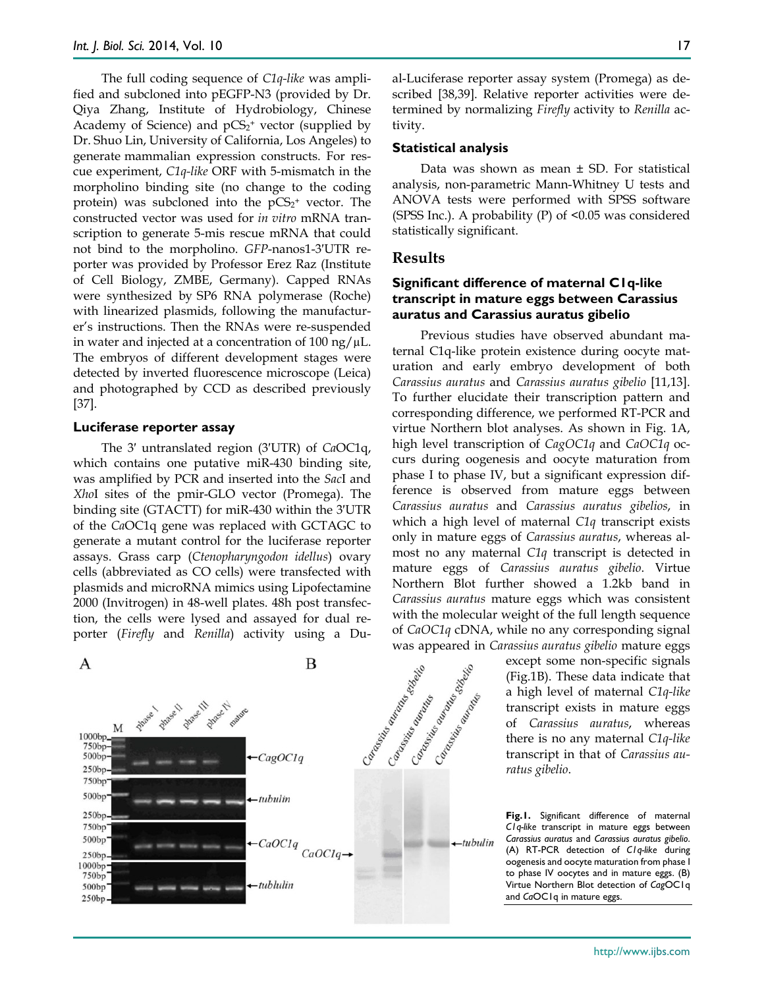The full coding sequence of *C1q-like* was amplified and subcloned into pEGFP-N3 (provided by Dr. Qiya Zhang, Institute of Hydrobiology, Chinese Academy of Science) and  $pCS<sub>2</sub>$ <sup>+</sup> vector (supplied by Dr. Shuo Lin, University of California, Los Angeles) to generate mammalian expression constructs. For rescue experiment, *C1q-like* ORF with 5-mismatch in the morpholino binding site (no change to the coding protein) was subcloned into the  $pCS_2^+$  vector. The constructed vector was used for *in vitro* mRNA transcription to generate 5-mis rescue mRNA that could not bind to the morpholino. *GFP*-nanos1-3′UTR reporter was provided by Professor Erez Raz (Institute of Cell Biology, ZMBE, Germany). Capped RNAs were synthesized by SP6 RNA polymerase (Roche) with linearized plasmids, following the manufacturer's instructions. Then the RNAs were re-suspended in water and injected at a concentration of 100 ng/ $\mu$ L. The embryos of different development stages were detected by inverted fluorescence microscope (Leica) and photographed by CCD as described previously [37].

#### **Luciferase reporter assay**

The 3′ untranslated region (3′UTR) of *Ca*OC1q, which contains one putative miR-430 binding site, was amplified by PCR and inserted into the *Sac*I and *Xho*I sites of the pmir-GLO vector (Promega). The binding site (GTACTT) for miR-430 within the 3′UTR of the *Ca*OC1q gene was replaced with GCTAGC to generate a mutant control for the luciferase reporter assays. Grass carp (*Ctenopharyngodon idellus*) ovary cells (abbreviated as CO cells) were transfected with plasmids and microRNA mimics using Lipofectamine 2000 (Invitrogen) in 48-well plates. 48h post transfection, the cells were lysed and assayed for dual reporter (*Firefly* and *Renilla*) activity using a Du-



al-Luciferase reporter assay system (Promega) as described [38,39]. Relative reporter activities were determined by normalizing *Firefly* activity to *Renilla* activity.

#### **Statistical analysis**

Data was shown as mean ± SD. For statistical analysis, non-parametric Mann-Whitney U tests and ANOVA tests were performed with SPSS software (SPSS Inc.). A probability  $(P)$  of  $\leq 0.05$  was considered statistically significant.

## **Results**

## **Significant difference of maternal C1q-like transcript in mature eggs between Carassius auratus and Carassius auratus gibelio**

Previous studies have observed abundant maternal C1q-like protein existence during oocyte maturation and early embryo development of both *Carassius auratus* and *Carassius auratus gibelio* [11,13]. To further elucidate their transcription pattern and corresponding difference, we performed RT-PCR and virtue Northern blot analyses. As shown in Fig. 1A, high level transcription of *CagOC1q* and *CaOC1q* occurs during oogenesis and oocyte maturation from phase I to phase IV, but a significant expression difference is observed from mature eggs between *Carassius auratus* and *Carassius auratus gibelios*, in which a high level of maternal *C1q* transcript exists only in mature eggs of *Carassius auratus*, whereas almost no any maternal *C1q* transcript is detected in mature eggs of *Carassius auratus gibelio*. Virtue Northern Blot further showed a 1.2kb band in *Carassius auratus* mature eggs which was consistent with the molecular weight of the full length sequence of *CaOC1q* cDNA, while no any corresponding signal

was appeared in *Carassius auratus gibelio* mature eggs<br>
except some non-specific signals<br>
(Fig.1B). These data indicate that<br>
a high level of maternal *C1q-like*<br>
transcript exists in mature eggs<br>
of *Carassius auratus*, except some non-specific signals (Fig.1B). These data indicate that a high level of maternal *C1q-like* transcript exists in mature eggs of *Carassius auratus*, whereas there is no any maternal *C1q-like* transcript in that of *Carassius auratus gibelio*.

> **Fig.1.** Significant difference of maternal *C1q-like* transcript in mature eggs between *Carassius auratus* and *Carassius auratus gibelio*. (A) RT-PCR detection of *C1q-like* during oogenesis and oocyte maturation from phase I to phase IV oocytes and in mature eggs. (B) Virtue Northern Blot detection of *Cag*OC1q and *Ca*OC1q in mature eggs.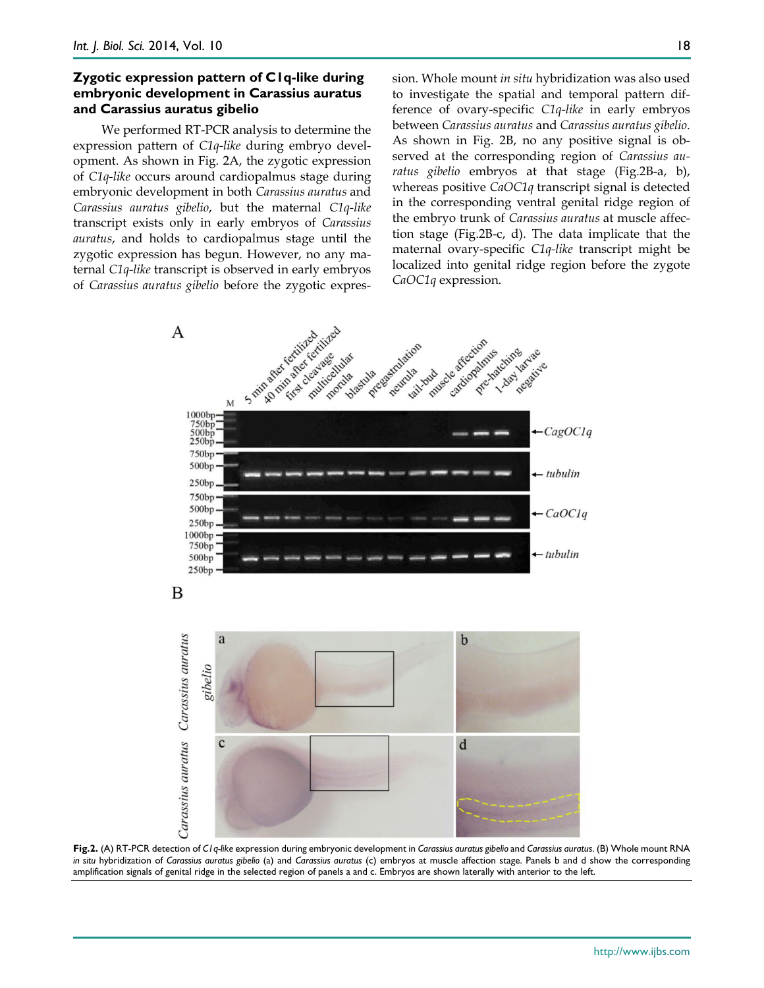## **Zygotic expression pattern of C1q-like during embryonic development in Carassius auratus and Carassius auratus gibelio**

We performed RT-PCR analysis to determine the expression pattern of *C1q-like* during embryo development. As shown in Fig. 2A, the zygotic expression of *C1q-like* occurs around cardiopalmus stage during embryonic development in both *Carassius auratus* and *Carassius auratus gibelio*, but the maternal *C1q-like* transcript exists only in early embryos of *Carassius auratus*, and holds to cardiopalmus stage until the zygotic expression has begun. However, no any maternal *C1q-like* transcript is observed in early embryos of *Carassius auratus gibelio* before the zygotic expression. Whole mount *in situ* hybridization was also used to investigate the spatial and temporal pattern difference of ovary-specific *C1q-like* in early embryos between *Carassius auratus* and *Carassius auratus gibelio*. As shown in Fig. 2B, no any positive signal is observed at the corresponding region of *Carassius auratus gibelio* embryos at that stage (Fig.2B-a, b), whereas positive *CaOC1q* transcript signal is detected in the corresponding ventral genital ridge region of the embryo trunk of *Carassius auratus* at muscle affection stage (Fig.2B-c, d). The data implicate that the maternal ovary-specific *C1q-like* transcript might be localized into genital ridge region before the zygote *CaOC1q* expression.



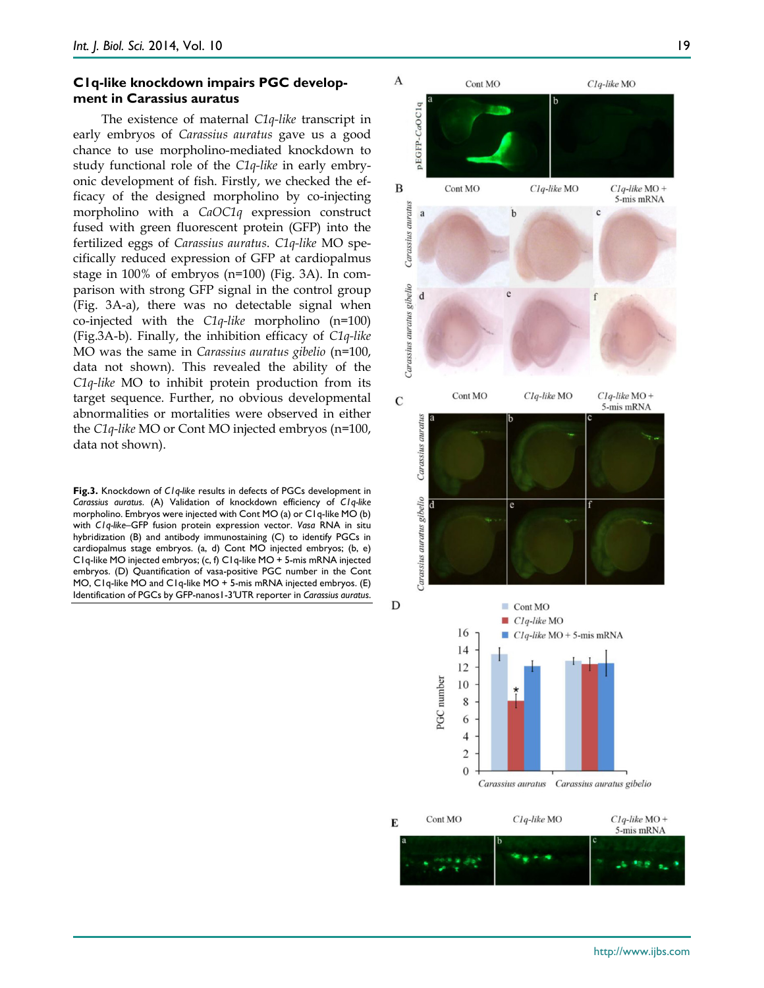## **C1q-like knockdown impairs PGC development in Carassius auratus**

The existence of maternal *C1q-like* transcript in early embryos of *Carassius auratus* gave us a good chance to use morpholino-mediated knockdown to study functional role of the *C1q-like* in early embryonic development of fish. Firstly, we checked the efficacy of the designed morpholino by co-injecting morpholino with a *CaOC1q* expression construct fused with green fluorescent protein (GFP) into the fertilized eggs of *Carassius auratus*. *C1q-like* MO specifically reduced expression of GFP at cardiopalmus stage in 100% of embryos (n=100) (Fig. 3A). In comparison with strong GFP signal in the control group (Fig. 3A-a), there was no detectable signal when co-injected with the *C1q-like* morpholino (n=100) (Fig.3A-b). Finally, the inhibition efficacy of *C1q-like* MO was the same in *Carassius auratus gibelio* (n=100, data not shown). This revealed the ability of the *C1q-like* MO to inhibit protein production from its target sequence. Further, no obvious developmental abnormalities or mortalities were observed in either the *C1q-like* MO or Cont MO injected embryos (n=100, data not shown).

**Fig.3.** Knockdown of *C1q-like* results in defects of PGCs development in *Carassius auratus*. (A) Validation of knockdown efficiency of *C1q-like* morpholino. Embryos were injected with Cont MO (a) or C1q-like MO (b) with *C1q-like*–GFP fusion protein expression vector. *Vasa* RNA in situ hybridization (B) and antibody immunostaining (C) to identify PGCs in cardiopalmus stage embryos. (a, d) Cont MO injected embryos; (b, e) C1q-like MO injected embryos; (c, f) C1q-like MO + 5-mis mRNA injected embryos. (D) Quantification of vasa-positive PGC number in the Cont MO, C1q-like MO and C1q-like MO + 5-mis mRNA injected embryos. (E) Identification of PGCs by GFP-nanos1-3′UTR reporter in *Carassius auratus*.

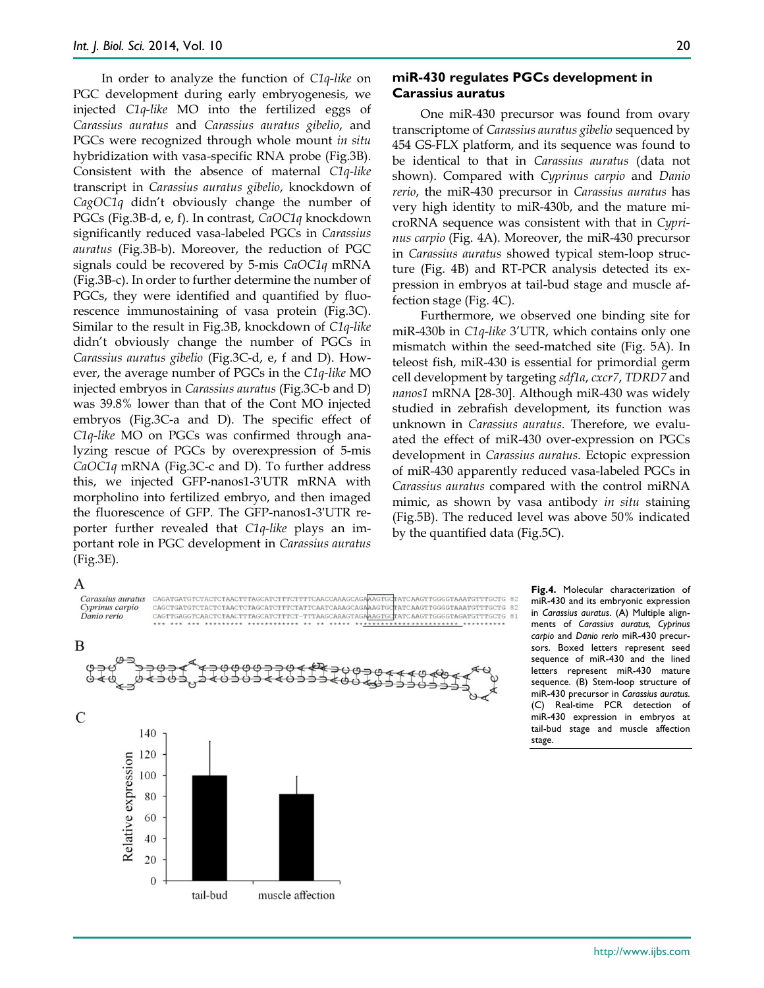In order to analyze the function of *C1q-like* on PGC development during early embryogenesis, we injected *C1q-like* MO into the fertilized eggs of *Carassius auratus* and *Carassius auratus gibelio*, and PGCs were recognized through whole mount *in situ*  hybridization with vasa-specific RNA probe (Fig.3B). Consistent with the absence of maternal *C1q-like* transcript in *Carassius auratus gibelio*, knockdown of *CagOC1q* didn't obviously change the number of PGCs (Fig.3B-d, e, f). In contrast, *CaOC1q* knockdown significantly reduced vasa-labeled PGCs in *Carassius auratus* (Fig.3B-b). Moreover, the reduction of PGC signals could be recovered by 5-mis *CaOC1q* mRNA (Fig.3B-c). In order to further determine the number of PGCs, they were identified and quantified by fluorescence immunostaining of vasa protein (Fig.3C). Similar to the result in Fig.3B, knockdown of *C1q-like* didn't obviously change the number of PGCs in *Carassius auratus gibelio* (Fig.3C-d, e, f and D). However, the average number of PGCs in the *C1q-like* MO injected embryos in *Carassius auratus* (Fig.3C-b and D) was 39.8% lower than that of the Cont MO injected embryos (Fig.3C-a and D). The specific effect of *C1q-like* MO on PGCs was confirmed through analyzing rescue of PGCs by overexpression of 5-mis *CaOC1q* mRNA (Fig.3C-c and D). To further address this, we injected GFP-nanos1-3′UTR mRNA with morpholino into fertilized embryo, and then imaged the fluorescence of GFP. The GFP-nanos1-3′UTR reporter further revealed that *C1q-like* plays an important role in PGC development in *Carassius auratus* (Fig.3E).

## **miR-430 regulates PGCs development in Carassius auratus**

One miR-430 precursor was found from ovary transcriptome of *Carassius auratus gibelio* sequenced by 454 GS-FLX platform, and its sequence was found to be identical to that in *Carassius auratus* (data not shown). Compared with *Cyprinus carpio* and *Danio rerio*, the miR-430 precursor in *Carassius auratus* has very high identity to miR-430b, and the mature microRNA sequence was consistent with that in *Cyprinus carpio* (Fig. 4A). Moreover, the miR-430 precursor in *Carassius auratus* showed typical stem-loop structure (Fig. 4B) and RT-PCR analysis detected its expression in embryos at tail-bud stage and muscle affection stage (Fig. 4C).

Furthermore, we observed one binding site for miR-430b in *C1q-like* 3'UTR, which contains only one mismatch within the seed-matched site (Fig. 5A). In teleost fish, miR-430 is essential for primordial germ cell development by targeting *sdf1a*, *cxcr7*, *TDRD7* and *nanos1* mRNA [28-30]. Although miR-430 was widely studied in zebrafish development, its function was unknown in *Carassius auratus*. Therefore, we evaluated the effect of miR-430 over-expression on PGCs development in *Carassius auratus*. Ectopic expression of miR-430 apparently reduced vasa-labeled PGCs in *Carassius auratus* compared with the control miRNA mimic, as shown by vasa antibody *in situ* staining (Fig.5B). The reduced level was above 50% indicated by the quantified data (Fig.5C).

#### A



**Fig.4.** Molecular characterization of miR-430 and its embryonic expression in *Carassius auratus*. (A) Multiple alignments of *Carassius auratus, Cyprinus carpio* and *Danio rerio* miR-430 precursors. Boxed letters represent seed sequence of miR-430 and the lined letters represent miR-430 mature sequence. (B) Stem-loop structure of miR-430 precursor in *Carassius auratus.* (C) Real-time PCR detection of miR-430 expression in embryos at tail-bud stage and muscle affection stage.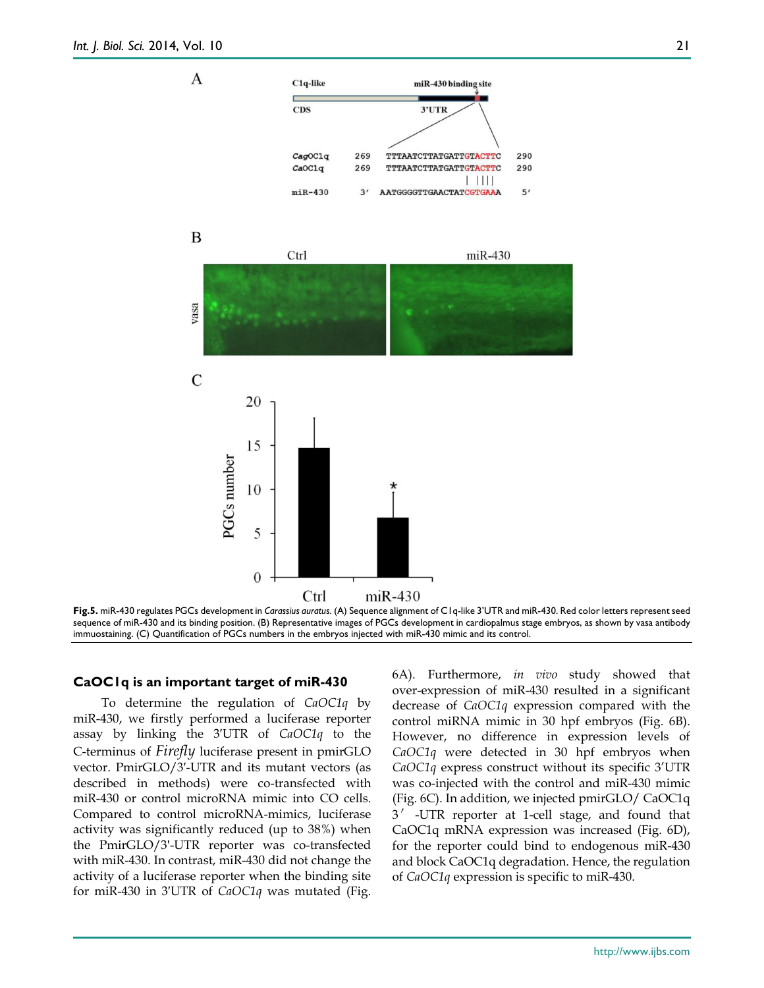



#### **CaOC1q is an important target of miR-430**

To determine the regulation of *CaOC1q* by miR-430, we firstly performed a luciferase reporter assay by linking the 3′UTR of *CaOC1q* to the C-terminus of *Firefly* luciferase present in pmirGLO vector. PmirGLO/3′-UTR and its mutant vectors (as described in methods) were co-transfected with miR-430 or control microRNA mimic into CO cells. Compared to control microRNA-mimics, luciferase activity was significantly reduced (up to 38%) when the PmirGLO/3′-UTR reporter was co-transfected with miR-430. In contrast, miR-430 did not change the activity of a luciferase reporter when the binding site for miR-430 in 3′UTR of *CaOC1q* was mutated (Fig.

6A). Furthermore, *in vivo* study showed that over-expression of miR-430 resulted in a significant decrease of *CaOC1q* expression compared with the control miRNA mimic in 30 hpf embryos (Fig. 6B). However, no difference in expression levels of *CaOC1q* were detected in 30 hpf embryos when *CaOC1q* express construct without its specific 3'UTR was co-injected with the control and miR-430 mimic (Fig. 6C). In addition, we injected pmirGLO/ CaOC1q 3′ -UTR reporter at 1-cell stage, and found that CaOC1q mRNA expression was increased (Fig. 6D), for the reporter could bind to endogenous miR-430 and block CaOC1q degradation. Hence, the regulation of *CaOC1q* expression is specific to miR-430.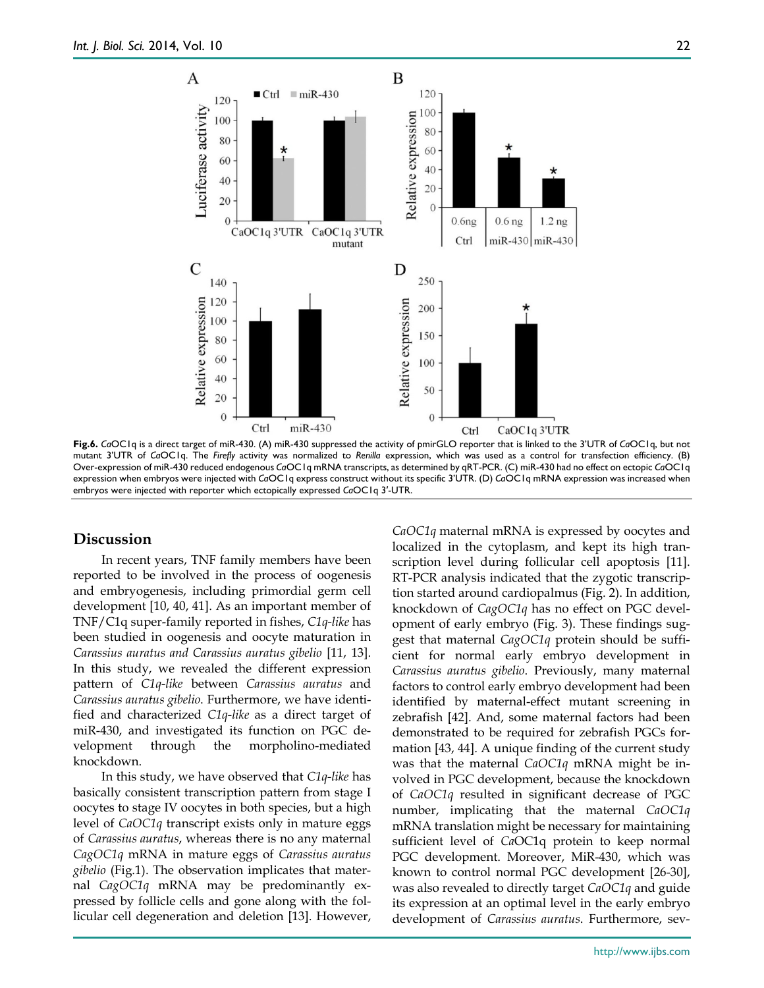

**Fig.6.** *Ca*OC1q is a direct target of miR-430. (A) miR-430 suppressed the activity of pmirGLO reporter that is linked to the 3'UTR of *Ca*OC1q, but not mutant 3'UTR of *Ca*OC1q. The *Firefly* activity was normalized to *Renilla* expression, which was used as a control for transfection efficiency. (B) Over-expression of miR-430 reduced endogenous *Ca*OC1q mRNA transcripts, as determined by qRT-PCR. (C) miR-430 had no effect on ectopic *Ca*OC1q expression when embryos were injected with *Ca*OC1q express construct without its specific 3'UTR. (D) *Ca*OC1q mRNA expression was increased when embryos were injected with reporter which ectopically expressed *Ca*OC1q 3′-UTR.

## **Discussion**

In recent years, TNF family members have been reported to be involved in the process of oogenesis and embryogenesis, including primordial germ cell development [10, 40, 41]. As an important member of TNF/C1q super-family reported in fishes, *C1q-like* has been studied in oogenesis and oocyte maturation in *Carassius auratus and Carassius auratus gibelio* [11, 13]. In this study, we revealed the different expression pattern of *C1q-like* between *Carassius auratus* and *Carassius auratus gibelio*. Furthermore, we have identified and characterized *C1q-like* as a direct target of miR-430, and investigated its function on PGC development through the morpholino-mediated knockdown.

In this study, we have observed that *C1q-like* has basically consistent transcription pattern from stage I oocytes to stage IV oocytes in both species, but a high level of *CaOC1q* transcript exists only in mature eggs of *Carassius auratus*, whereas there is no any maternal *CagOC1q* mRNA in mature eggs of *Carassius auratus gibelio* (Fig.1). The observation implicates that maternal *CagOC1q* mRNA may be predominantly expressed by follicle cells and gone along with the follicular cell degeneration and deletion [13]. However,

*CaOC1q* maternal mRNA is expressed by oocytes and localized in the cytoplasm, and kept its high transcription level during follicular cell apoptosis [11]. RT-PCR analysis indicated that the zygotic transcription started around cardiopalmus (Fig. 2). In addition, knockdown of *CagOC1q* has no effect on PGC development of early embryo (Fig. 3). These findings suggest that maternal *CagOC1q* protein should be sufficient for normal early embryo development in *Carassius auratus gibelio*. Previously, many maternal factors to control early embryo development had been identified by maternal-effect mutant screening in zebrafish [42]. And, some maternal factors had been demonstrated to be required for zebrafish PGCs formation [43, 44]. A unique finding of the current study was that the maternal *CaOC1q* mRNA might be involved in PGC development, because the knockdown of *CaOC1q* resulted in significant decrease of PGC number, implicating that the maternal *CaOC1q* mRNA translation might be necessary for maintaining sufficient level of *Ca*OC1q protein to keep normal PGC development. Moreover, MiR-430, which was known to control normal PGC development [26-30], was also revealed to directly target *CaOC1q* and guide its expression at an optimal level in the early embryo development of *Carassius auratus*. Furthermore, sev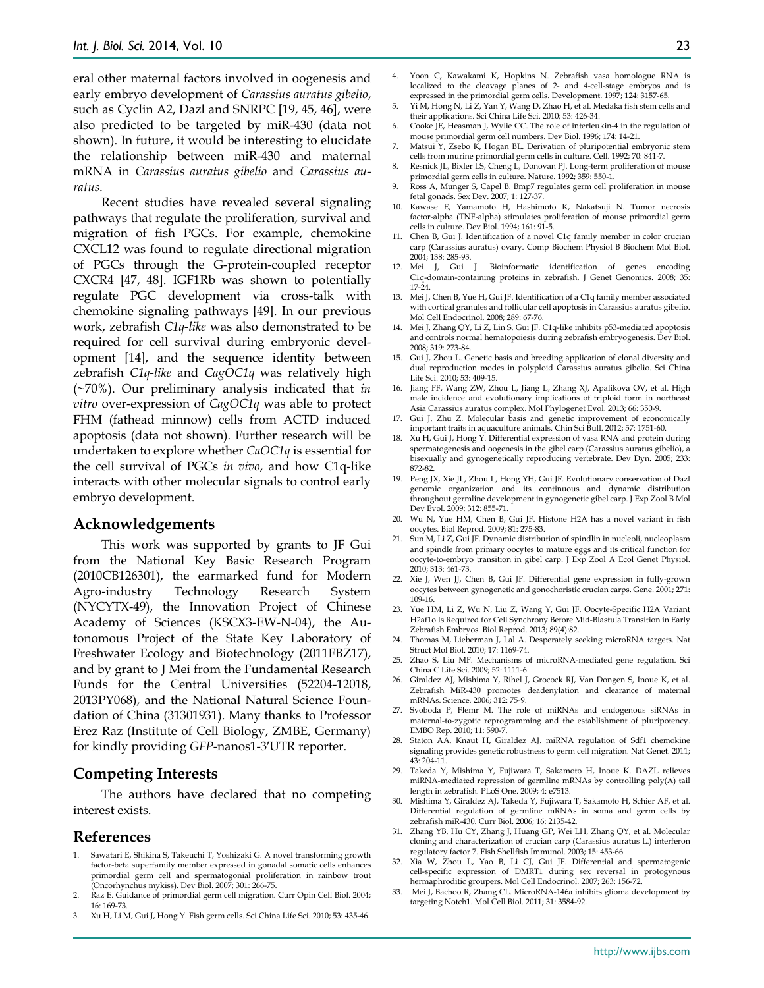eral other maternal factors involved in oogenesis and early embryo development of *Carassius auratus gibelio*, such as Cyclin A2, Dazl and SNRPC [19, 45, 46], were also predicted to be targeted by miR-430 (data not shown). In future, it would be interesting to elucidate the relationship between miR-430 and maternal mRNA in *Carassius auratus gibelio* and *Carassius auratus*.

Recent studies have revealed several signaling pathways that regulate the proliferation, survival and migration of fish PGCs. For example, chemokine CXCL12 was found to regulate directional migration of PGCs through the G-protein-coupled receptor CXCR4 [47, 48]. IGF1Rb was shown to potentially regulate PGC development via cross-talk with chemokine signaling pathways [49]. In our previous work, zebrafish *C1q-like* was also demonstrated to be required for cell survival during embryonic development [14], and the sequence identity between zebrafish *C1q-like* and *CagOC1q* was relatively high (~70%). Our preliminary analysis indicated that *in vitro* over-expression of *CagOC1q* was able to protect FHM (fathead minnow) cells from ACTD induced apoptosis (data not shown). Further research will be undertaken to explore whether *CaOC1q* is essential for the cell survival of PGCs *in vivo*, and how C1q-like interacts with other molecular signals to control early embryo development.

## **Acknowledgements**

This work was supported by grants to JF Gui from the National Key Basic Research Program (2010CB126301), the earmarked fund for Modern Agro-industry Technology Research System (NYCYTX-49), the Innovation Project of Chinese Academy of Sciences (KSCX3-EW-N-04), the Autonomous Project of the State Key Laboratory of Freshwater Ecology and Biotechnology (2011FBZ17), and by grant to J Mei from the Fundamental Research Funds for the Central Universities (52204-12018, 2013PY068), and the National Natural Science Foundation of China (31301931). Many thanks to Professor Erez Raz (Institute of Cell Biology, ZMBE, Germany) for kindly providing *GFP*-nanos1-3′UTR reporter.

## **Competing Interests**

The authors have declared that no competing interest exists.

## **References**

- 1. Sawatari E, Shikina S, Takeuchi T, Yoshizaki G. A novel transforming growth factor-beta superfamily member expressed in gonadal somatic cells enhances primordial germ cell and spermatogonial proliferation in rainbow trout (Oncorhynchus mykiss). Dev Biol. 2007; 301: 266-75.
- 2. Raz E. Guidance of primordial germ cell migration. Curr Opin Cell Biol. 2004; 16: 169-73.
- 3. Xu H, Li M, Gui J, Hong Y. Fish germ cells. Sci China Life Sci. 2010; 53: 435-46.
- 4. Yoon C, Kawakami K, Hopkins N. Zebrafish vasa homologue RNA is localized to the cleavage planes of 2- and 4-cell-stage embryos and is expressed in the primordial germ cells. Development. 1997; 124: 3157-65.
- 5. Yi M, Hong N, Li Z, Yan Y, Wang D, Zhao H, et al. Medaka fish stem cells and their applications. Sci China Life Sci. 2010; 53: 426-34.
- 6. Cooke JE, Heasman J, Wylie CC. The role of interleukin-4 in the regulation of mouse primordial germ cell numbers. Dev Biol. 1996; 174: 14-21.
- 7. Matsui Y, Zsebo K, Hogan BL. Derivation of pluripotential embryonic stem cells from murine primordial germ cells in culture. Cell. 1992; 70: 841-7.
- 8. Resnick JL, Bixler LS, Cheng L, Donovan PJ. Long-term proliferation of mouse primordial germ cells in culture. Nature. 1992; 359: 550-1.
- 9. Ross A, Munger S, Capel B. Bmp7 regulates germ cell proliferation in mouse fetal gonads. Sex Dev. 2007; 1: 127-37.
- 10. Kawase E, Yamamoto H, Hashimoto K, Nakatsuji N. Tumor necrosis factor-alpha (TNF-alpha) stimulates proliferation of mouse primordial germ cells in culture. Dev Biol. 1994; 161: 91-5.
- 11. Chen B, Gui J. Identification of a novel C1q family member in color crucian carp (Carassius auratus) ovary. Comp Biochem Physiol B Biochem Mol Biol. 2004; 138: 285-93.
- 12. Mei J, Gui J. Bioinformatic identification of genes encoding C1q-domain-containing proteins in zebrafish. J Genet Genomics. 2008; 35: 17-24.
- 13. Mei J, Chen B, Yue H, Gui JF. Identification of a C1q family member associated with cortical granules and follicular cell apoptosis in Carassius auratus gibelio. Mol Cell Endocrinol. 2008; 289: 67-76.
- 14. Mei J, Zhang QY, Li Z, Lin S, Gui JF. C1q-like inhibits p53-mediated apoptosis and controls normal hematopoiesis during zebrafish embryogenesis. Dev Biol. 2008; 319: 273-84.
- 15. Gui J, Zhou L. Genetic basis and breeding application of clonal diversity and dual reproduction modes in polyploid Carassius auratus gibelio. Sci China Life Sci. 2010; 53: 409-15.
- 16. Jiang FF, Wang ZW, Zhou L, Jiang L, Zhang XJ, Apalikova OV, et al. High male incidence and evolutionary implications of triploid form in northeast Asia Carassius auratus complex. Mol Phylogenet Evol. 2013; 66: 350-9.
- 17. Gui J, Zhu Z. Molecular basis and genetic improvement of economically important traits in aquaculture animals. Chin Sci Bull. 2012; 57: 1751-60.
- 18. Xu H, Gui J, Hong Y. Differential expression of vasa RNA and protein during spermatogenesis and oogenesis in the gibel carp (Carassius auratus gibelio), a bisexually and gynogenetically reproducing vertebrate. Dev Dyn. 2005; 233: 872-82.
- 19. Peng JX, Xie JL, Zhou L, Hong YH, Gui JF. Evolutionary conservation of Dazl genomic organization and its continuous and dynamic distribution throughout germline development in gynogenetic gibel carp. J Exp Zool B Mol Dev Evol. 2009; 312: 855-71.
- 20. Wu N, Yue HM, Chen B, Gui JF. Histone H2A has a novel variant in fish oocytes. Biol Reprod. 2009; 81: 275-83.
- 21. Sun M, Li Z, Gui JF. Dynamic distribution of spindlin in nucleoli, nucleoplasm and spindle from primary oocytes to mature eggs and its critical function for oocyte-to-embryo transition in gibel carp. J Exp Zool A Ecol Genet Physiol. 2010; 313: 461-73.
- 22. Xie J, Wen JJ, Chen B, Gui JF. Differential gene expression in fully-grown oocytes between gynogenetic and gonochoristic crucian carps. Gene. 2001; 271: 109-16.
- 23. Yue HM, Li Z, Wu N, Liu Z, Wang Y, Gui JF. Oocyte-Specific H2A Variant H2af1o Is Required for Cell Synchrony Before Mid-Blastula Transition in Early Zebrafish Embryos. Biol Reprod. 2013; 89(4):82.
- 24. Thomas M, Lieberman J, Lal A. Desperately seeking microRNA targets. Nat Struct Mol Biol. 2010; 17: 1169-74.
- 25. Zhao S, Liu MF. Mechanisms of microRNA-mediated gene regulation. Sci China C Life Sci. 2009; 52: 1111-6.
- 26. Giraldez AJ, Mishima Y, Rihel J, Grocock RJ, Van Dongen S, Inoue K, et al. Zebrafish MiR-430 promotes deadenylation and clearance of maternal mRNAs. Science. 2006; 312: 75-9.
- 27. Svoboda P, Flemr M. The role of miRNAs and endogenous siRNAs in maternal-to-zygotic reprogramming and the establishment of pluripotency. EMBO Rep. 2010; 11: 590-7.
- 28. Staton AA, Knaut H, Giraldez AJ. miRNA regulation of Sdf1 chemokine signaling provides genetic robustness to germ cell migration. Nat Genet. 2011; 43: 204-11.
- 29. Takeda Y, Mishima Y, Fujiwara T, Sakamoto H, Inoue K. DAZL relieves miRNA-mediated repression of germline mRNAs by controlling poly(A) tail length in zebrafish. PLoS One. 2009; 4: e7513.
- 30. Mishima Y, Giraldez AJ, Takeda Y, Fujiwara T, Sakamoto H, Schier AF, et al. Differential regulation of germline mRNAs in soma and germ cells by zebrafish miR-430. Curr Biol. 2006; 16: 2135-42.
- 31. Zhang YB, Hu CY, Zhang J, Huang GP, Wei LH, Zhang QY, et al. Molecular cloning and characterization of crucian carp (Carassius auratus L.) interferon regulatory factor 7. Fish Shellfish Immunol. 2003; 15: 453-66.
- 32. Xia W, Zhou L, Yao B, Li CJ, Gui JF. Differential and spermatogenic cell-specific expression of DMRT1 during sex reversal in protogynous hermaphroditic groupers. Mol Cell Endocrinol. 2007; 263: 156-72.
- Mei J, Bachoo R, Zhang CL. MicroRNA-146a inhibits glioma development by targeting Notch1. Mol Cell Biol. 2011; 31: 3584-92.